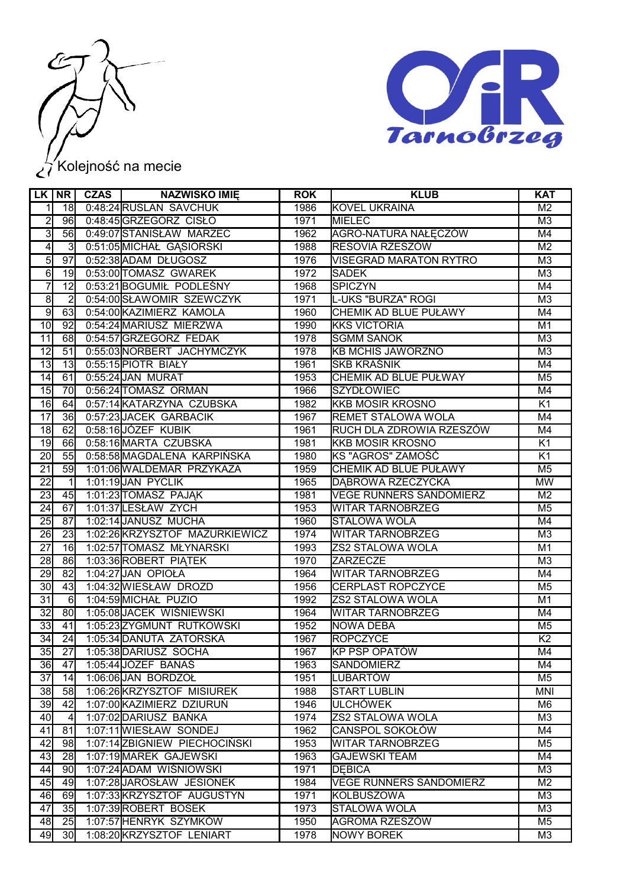



## Kolejność na mecie

|                 | LK NR            | <b>CZAS</b> | <b>NAZWISKO IMIĘ</b>           | <b>ROK</b> | <b>KLUB</b>                    | <b>KAT</b>      |
|-----------------|------------------|-------------|--------------------------------|------------|--------------------------------|-----------------|
| 1               | 18               |             | 0:48:24 RUSLAN SAVCHUK         | 1986       | <b>KOVEL UKRAINA</b>           | M <sub>2</sub>  |
| $\overline{2}$  | 96               |             | 0:48:45 GRZEGORZ CISŁO         | 1971       | <b>MIELEC</b>                  | M <sub>3</sub>  |
| $\overline{3}$  | 56               |             | 0:49:07 STANISŁAW MARZEC       | 1962       | AGRO-NATURA NAŁĘCZÓW           | M4              |
| $\overline{4}$  | $\overline{3}$   |             | 0:51:05 MICHAŁ GASIORSKI       | 1988       | RESOVIA RZESZÓW                | $\overline{M2}$ |
| $\overline{5}$  | $\overline{97}$  |             | 0:52:38 ADAM DŁUGOSZ           | 1976       | <b>VISEGRAD MARATON RYTRO</b>  | M <sub>3</sub>  |
| $\overline{6}$  | 19               |             | 0:53:00 TOMASZ GWAREK          | 1972       | <b>SADEK</b>                   | M <sub>3</sub>  |
| $\overline{7}$  | $\overline{12}$  |             | 0:53:21 BOGUMIŁ PODLEŚNY       | 1968       | <b>SPICZYN</b>                 | M4              |
| $\overline{8}$  | $\overline{2}$   |             | 0:54:00 SŁAWOMIR SZEWCZYK      | 1971       | L-UKS "BURZA" ROGI             | M3              |
| $\overline{9}$  | 63               |             | 0:54:00 KAZIMIERZ KAMOLA       | 1960       | <b>CHEMIK AD BLUE PUŁAWY</b>   | M4              |
| 10              | 92               |             | 0:54:24 MARIUSZ MIERZWA        | 1990       | <b>KKS VICTORIA</b>            | M1              |
| 11              | 68               |             | 0:54:57 GRZEGORZ FEDAK         | 1978       | <b>SGMM SANOK</b>              | M <sub>3</sub>  |
| $\overline{12}$ | 51               |             | 0:55:03 NORBERT JACHYMCZYK     | 1978       | <b>KB MCHIS JAWORZNO</b>       | M3              |
| 13              | 13               |             | 0:55:15 PIOTR BIAŁY            | 1961       | <b>SKB KRAŚNIK</b>             | M4              |
| 14              | 61               |             | 0:55:24 JAN MURAT              | 1953       | CHEMIK AD BLUE PUŁWAY          | M <sub>5</sub>  |
| 15              | $\overline{70}$  |             | 0:56:24 TOMASZ ORMAN           | 1966       | <b>SZYDŁOWIEC</b>              | M4              |
| 16              | 64               |             | 0:57:14 KATARZYNA CZUBSKA      | 1982       | <b>KKB MOSIR KROSNO</b>        | K1              |
| $\overline{17}$ | 36               |             | 0:57:23 JACEK GARBACIK         | 1967       | REMET STALOWA WOLA             | M4              |
| $\overline{18}$ | 62               |             | 0:58:16JÓZEF KUBIK             | 1961       | RUCH DLA ZDROWIA RZESZÓW       | M4              |
| 19              | 66               |             | 0:58:16 MARTA CZUBSKA          | 1981       | <b>KKB MOSIR KROSNO</b>        | $\overline{K1}$ |
| $\overline{20}$ | 55               |             | 0:58:58 MAGDALENA KARPIŃSKA    | 1980       | KS "AGROS" ZAMOŚĆ              | $\overline{K1}$ |
| $\overline{21}$ | 59               |             | 1:01:06 WALDEMAR PRZYKAZA      | 1959       | CHEMIK AD BLUE PUŁAWY          | M <sub>5</sub>  |
| $\overline{22}$ | $\mathbf{1}$     |             | 1:01:19 JAN PYCLIK             | 1965       | DABROWA RZECZYCKA              | <b>MW</b>       |
| 23              | 45               |             | 1:01:23 TOMASZ PAJAK           | 1981       | <b>VEGE RUNNERS SANDOMIERZ</b> | $\overline{M2}$ |
| $\overline{24}$ | 67               |             | 1:01:37 LESŁAW ZYCH            | 1953       | WITAR TARNOBRZEG               | M <sub>5</sub>  |
| $\overline{25}$ | 87               |             | 1:02:14 JANUSZ MUCHA           | 1960       | <b>STALOWA WOLA</b>            | M4              |
| $\overline{26}$ | 23               |             | 1:02:26 KRZYSZTOF MAZURKIEWICZ | 1974       | <b>WITAR TARNOBRZEG</b>        | M3              |
| $\overline{27}$ | 16               |             | 1:02:57 TOMASZ MŁYNARSKI       | 1993       | ZS2 STALOWA WOLA               | M1              |
| 28              | 86               |             | 1:03:36 ROBERT PIATEK          | 1970       | ZARZECZE                       | M <sub>3</sub>  |
| 29              | 82               |             | 1:04:27 JAN OPIOŁA             | 1964       | <b>WITAR TARNOBRZEG</b>        | M4              |
| $\overline{30}$ | 43               |             | 1:04:32 WIESŁAW DROZD          | 1956       | <b>CERPLAST ROPCZYCE</b>       | M <sub>5</sub>  |
| $\overline{31}$ | $6 \overline{6}$ |             | 1:04:59 MICHAŁ PUZIO           | 1992       | <b>ZS2 STALOWA WOLA</b>        | M <sub>1</sub>  |
| $\overline{32}$ | 80               |             | 1:05:08 JACEK WIŚNIEWSKI       | 1964       | <b>WITAR TARNOBRZEG</b>        | M4              |
| $\overline{33}$ | 41               |             | 1:05:23 ZYGMUNT RUTKOWSKI      | 1952       | <b>NOWA DEBA</b>               | M <sub>5</sub>  |
| $\overline{34}$ | 24               |             | 1:05:34 DANUTA ZATORSKA        | 1967       | <b>ROPCZYCE</b>                | $\overline{K2}$ |
| $\overline{35}$ | $\overline{27}$  |             | 1:05:38 DARIUSZ SOCHA          | 1967       | KP PSP OPATÓW                  | M4              |
| 36              | 47               |             | 1:05:44 JÓZEF BANAS            | 1963       | <b>SANDOMIERZ</b>              | M4              |
| $\overline{37}$ | 14               |             | 1:06:06 JAN BORDZOŁ            | 1951       | <b>LUBARTÓW</b>                | M <sub>5</sub>  |
| 38              | 58               |             | 1:06:26 KRZYSZTOF MISIUREK     | 1988       | <b>START LUBLIN</b>            | <b>MNI</b>      |
| 39              | 42               |             | 1:07:00 KAZIMIERZ DZIURUŃ      | 1946       | <b>ULCHÓWEK</b>                | M <sub>6</sub>  |
| 40              | $\vert$          |             | 1:07:02 DARIUSZ BAŃKA          | 1974       | ZS2 STALOWA WOLA               | M3              |
| 41              | 81               |             | 1:07:11 WIESŁAW SONDEJ         | 1962       | CANSPOL SOKOŁÓW                | M4              |
| 42              | 98               |             | 1:07:14 ZBIGNIEW PIECHOCIŃSKI  | 1953       | WITAR TARNOBRZEG               | M <sub>5</sub>  |
| 43              | 28               |             | 1:07:19 MAREK GAJEWSKI         | 1963       | <b>GAJEWSKI TEAM</b>           | M4              |
| 44              | 90               |             | 1:07:24 ADAM WIŚNIOWSKI        | 1971       | <b>DEBICA</b>                  | M3              |
| 45              | 49               |             | 1:07:28 JAROSŁAW JESIONEK      | 1984       | <b>VEGE RUNNERS SANDOMIERZ</b> | M <sub>2</sub>  |
| 46              | 69               |             | 1:07:33 KRZYSZTOF AUGUSTYN     | 1971       | <b>KOLBUSZOWA</b>              | M3              |
| 47              | 35               |             | 1:07:39 ROBERT BOSEK           | 1973       | STALOWA WOLA                   | M3              |
| 48              | 25               |             | 1:07:57 HENRYK SZYMKÓW         | 1950       | AGROMA RZESZÓW                 | M <sub>5</sub>  |
| 49              | 30 <sub>l</sub>  |             | 1:08:20 KRZYSZTOF LENIART      | 1978       | <b>NOWY BOREK</b>              | MЗ              |